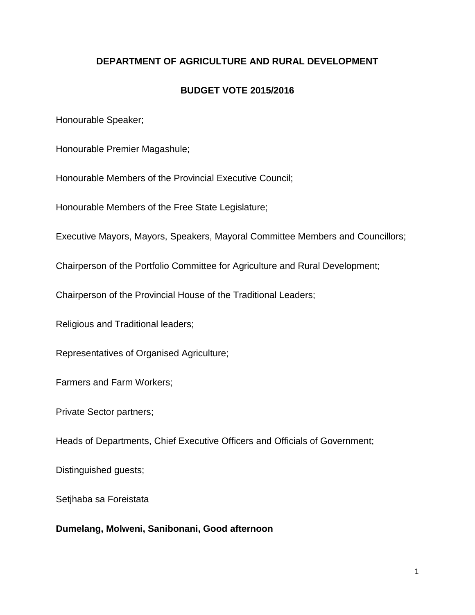## **DEPARTMENT OF AGRICULTURE AND RURAL DEVELOPMENT**

### **BUDGET VOTE 2015/2016**

Honourable Speaker;

Honourable Premier Magashule;

Honourable Members of the Provincial Executive Council;

Honourable Members of the Free State Legislature;

Executive Mayors, Mayors, Speakers, Mayoral Committee Members and Councillors;

Chairperson of the Portfolio Committee for Agriculture and Rural Development;

Chairperson of the Provincial House of the Traditional Leaders;

Religious and Traditional leaders;

Representatives of Organised Agriculture;

Farmers and Farm Workers;

Private Sector partners;

Heads of Departments, Chief Executive Officers and Officials of Government;

Distinguished guests;

Setjhaba sa Foreistata

**Dumelang, Molweni, Sanibonani, Good afternoon**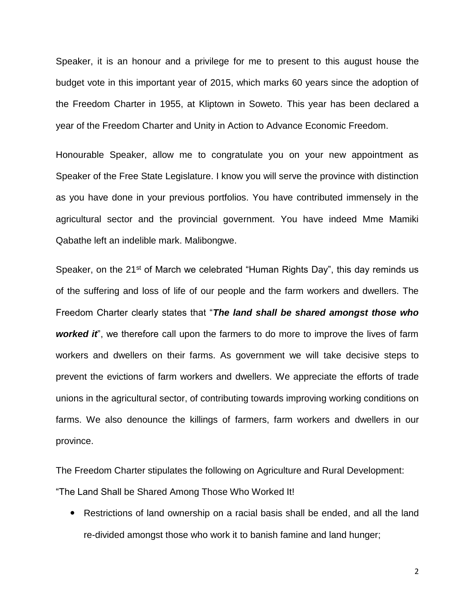Speaker, it is an honour and a privilege for me to present to this august house the budget vote in this important year of 2015, which marks 60 years since the adoption of the Freedom Charter in 1955, at Kliptown in Soweto. This year has been declared a year of the Freedom Charter and Unity in Action to Advance Economic Freedom.

Honourable Speaker, allow me to congratulate you on your new appointment as Speaker of the Free State Legislature. I know you will serve the province with distinction as you have done in your previous portfolios. You have contributed immensely in the agricultural sector and the provincial government. You have indeed Mme Mamiki Qabathe left an indelible mark. Malibongwe.

Speaker, on the 21<sup>st</sup> of March we celebrated "Human Rights Day", this day reminds us of the suffering and loss of life of our people and the farm workers and dwellers. The Freedom Charter clearly states that "*The land shall be shared amongst those who worked it*", we therefore call upon the farmers to do more to improve the lives of farm workers and dwellers on their farms. As government we will take decisive steps to prevent the evictions of farm workers and dwellers. We appreciate the efforts of trade unions in the agricultural sector, of contributing towards improving working conditions on farms. We also denounce the killings of farmers, farm workers and dwellers in our province.

The Freedom Charter stipulates the following on Agriculture and Rural Development: "The Land Shall be Shared Among Those Who Worked It!

 Restrictions of land ownership on a racial basis shall be ended, and all the land re-divided amongst those who work it to banish famine and land hunger;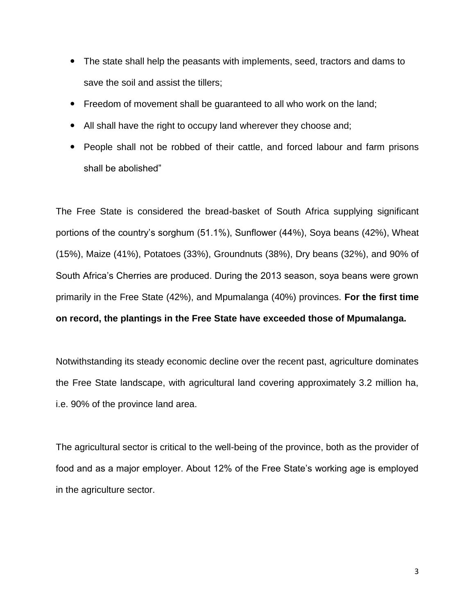- The state shall help the peasants with implements, seed, tractors and dams to save the soil and assist the tillers;
- Freedom of movement shall be guaranteed to all who work on the land;
- All shall have the right to occupy land wherever they choose and;
- People shall not be robbed of their cattle, and forced labour and farm prisons shall be abolished"

The Free State is considered the bread-basket of South Africa supplying significant portions of the country's sorghum (51.1%), Sunflower (44%), Soya beans (42%), Wheat (15%), Maize (41%), Potatoes (33%), Groundnuts (38%), Dry beans (32%), and 90% of South Africa's Cherries are produced. During the 2013 season, soya beans were grown primarily in the Free State (42%), and Mpumalanga (40%) provinces. **For the first time on record, the plantings in the Free State have exceeded those of Mpumalanga.**

Notwithstanding its steady economic decline over the recent past, agriculture dominates the Free State landscape, with agricultural land covering approximately 3.2 million ha, i.e. 90% of the province land area.

The agricultural sector is critical to the well-being of the province, both as the provider of food and as a major employer. About 12% of the Free State's working age is employed in the agriculture sector.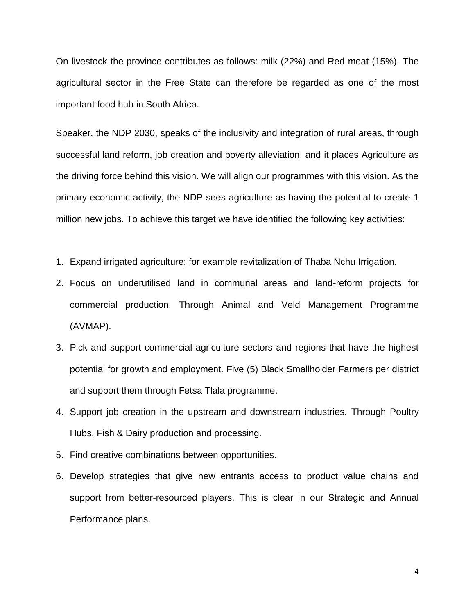On livestock the province contributes as follows: milk (22%) and Red meat (15%). The agricultural sector in the Free State can therefore be regarded as one of the most important food hub in South Africa.

Speaker, the NDP 2030, speaks of the inclusivity and integration of rural areas, through successful land reform, job creation and poverty alleviation, and it places Agriculture as the driving force behind this vision. We will align our programmes with this vision. As the primary economic activity, the NDP sees agriculture as having the potential to create 1 million new jobs. To achieve this target we have identified the following key activities:

- 1. Expand irrigated agriculture; for example revitalization of Thaba Nchu Irrigation.
- 2. Focus on underutilised land in communal areas and land-reform projects for commercial production. Through Animal and Veld Management Programme (AVMAP).
- 3. Pick and support commercial agriculture sectors and regions that have the highest potential for growth and employment. Five (5) Black Smallholder Farmers per district and support them through Fetsa Tlala programme.
- 4. Support job creation in the upstream and downstream industries. Through Poultry Hubs, Fish & Dairy production and processing.
- 5. Find creative combinations between opportunities.
- 6. Develop strategies that give new entrants access to product value chains and support from better-resourced players. This is clear in our Strategic and Annual Performance plans.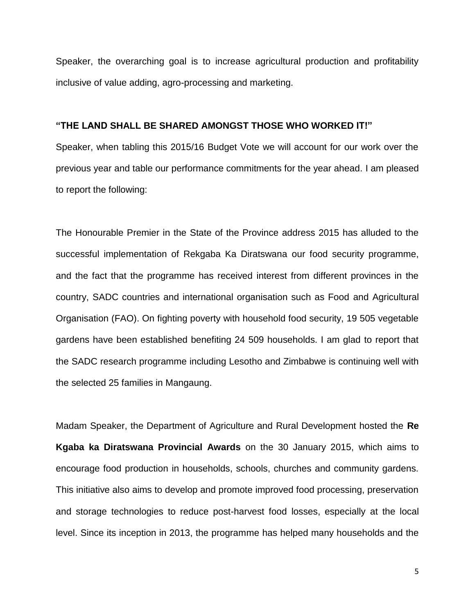Speaker, the overarching goal is to increase agricultural production and profitability inclusive of value adding, agro-processing and marketing.

#### **"THE LAND SHALL BE SHARED AMONGST THOSE WHO WORKED IT!"**

Speaker, when tabling this 2015/16 Budget Vote we will account for our work over the previous year and table our performance commitments for the year ahead. I am pleased to report the following:

The Honourable Premier in the State of the Province address 2015 has alluded to the successful implementation of Rekgaba Ka Diratswana our food security programme, and the fact that the programme has received interest from different provinces in the country, SADC countries and international organisation such as Food and Agricultural Organisation (FAO). On fighting poverty with household food security, 19 505 vegetable gardens have been established benefiting 24 509 households. I am glad to report that the SADC research programme including Lesotho and Zimbabwe is continuing well with the selected 25 families in Mangaung.

Madam Speaker, the Department of Agriculture and Rural Development hosted the **Re Kgaba ka Diratswana Provincial Awards** on the 30 January 2015, which aims to encourage food production in households, schools, churches and community gardens. This initiative also aims to develop and promote improved food processing, preservation and storage technologies to reduce post-harvest food losses, especially at the local level. Since its inception in 2013, the programme has helped many households and the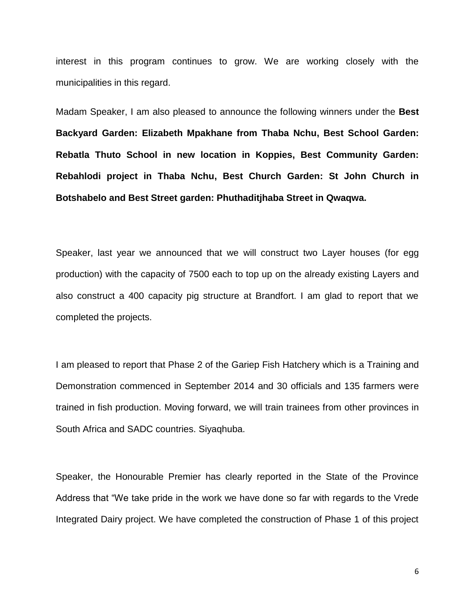interest in this program continues to grow. We are working closely with the municipalities in this regard.

Madam Speaker, I am also pleased to announce the following winners under the **Best Backyard Garden: Elizabeth Mpakhane from Thaba Nchu, Best School Garden: Rebatla Thuto School in new location in Koppies, Best Community Garden: Rebahlodi project in Thaba Nchu, Best Church Garden: St John Church in Botshabelo and Best Street garden: Phuthaditjhaba Street in Qwaqwa.**

Speaker, last year we announced that we will construct two Layer houses (for egg production) with the capacity of 7500 each to top up on the already existing Layers and also construct a 400 capacity pig structure at Brandfort. I am glad to report that we completed the projects.

I am pleased to report that Phase 2 of the Gariep Fish Hatchery which is a Training and Demonstration commenced in September 2014 and 30 officials and 135 farmers were trained in fish production. Moving forward, we will train trainees from other provinces in South Africa and SADC countries. Siyaqhuba.

Speaker, the Honourable Premier has clearly reported in the State of the Province Address that "We take pride in the work we have done so far with regards to the Vrede Integrated Dairy project. We have completed the construction of Phase 1 of this project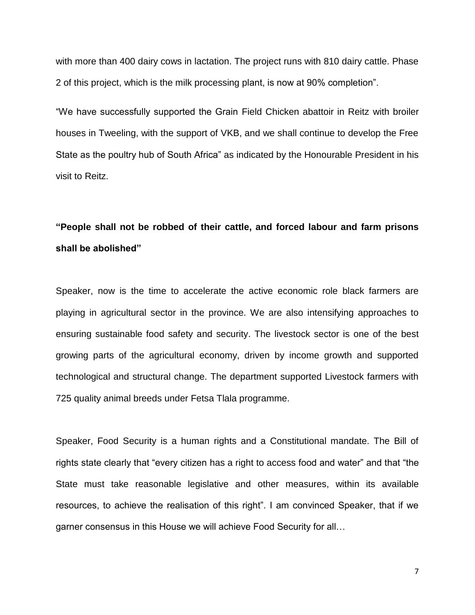with more than 400 dairy cows in lactation. The project runs with 810 dairy cattle. Phase 2 of this project, which is the milk processing plant, is now at 90% completion".

"We have successfully supported the Grain Field Chicken abattoir in Reitz with broiler houses in Tweeling, with the support of VKB, and we shall continue to develop the Free State as the poultry hub of South Africa" as indicated by the Honourable President in his visit to Reitz.

# **"People shall not be robbed of their cattle, and forced labour and farm prisons shall be abolished"**

Speaker, now is the time to accelerate the active economic role black farmers are playing in agricultural sector in the province. We are also intensifying approaches to ensuring sustainable food safety and security. The livestock sector is one of the best growing parts of the agricultural economy, driven by income growth and supported technological and structural change. The department supported Livestock farmers with 725 quality animal breeds under Fetsa Tlala programme.

Speaker, Food Security is a human rights and a Constitutional mandate. The Bill of rights state clearly that "every citizen has a right to access food and water" and that "the State must take reasonable legislative and other measures, within its available resources, to achieve the realisation of this right". I am convinced Speaker, that if we garner consensus in this House we will achieve Food Security for all…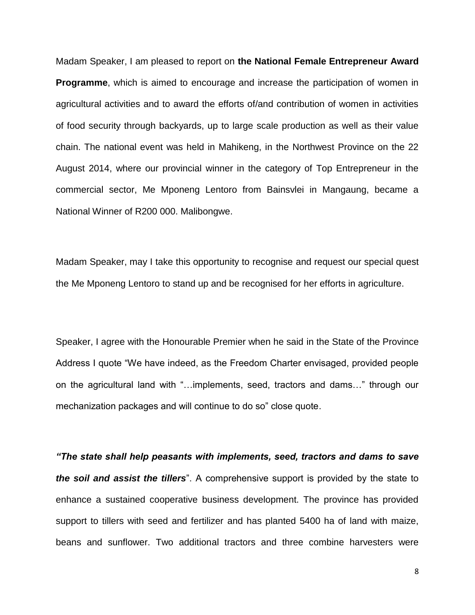Madam Speaker, I am pleased to report on **the National Female Entrepreneur Award Programme**, which is aimed to encourage and increase the participation of women in agricultural activities and to award the efforts of/and contribution of women in activities of food security through backyards, up to large scale production as well as their value chain. The national event was held in Mahikeng, in the Northwest Province on the 22 August 2014, where our provincial winner in the category of Top Entrepreneur in the commercial sector, Me Mponeng Lentoro from Bainsvlei in Mangaung, became a National Winner of R200 000. Malibongwe.

Madam Speaker, may I take this opportunity to recognise and request our special quest the Me Mponeng Lentoro to stand up and be recognised for her efforts in agriculture.

Speaker, I agree with the Honourable Premier when he said in the State of the Province Address I quote "We have indeed, as the Freedom Charter envisaged, provided people on the agricultural land with "…implements, seed, tractors and dams…" through our mechanization packages and will continue to do so" close quote.

*"The state shall help peasants with implements, seed, tractors and dams to save the soil and assist the tillers*". A comprehensive support is provided by the state to enhance a sustained cooperative business development. The province has provided support to tillers with seed and fertilizer and has planted 5400 ha of land with maize, beans and sunflower. Two additional tractors and three combine harvesters were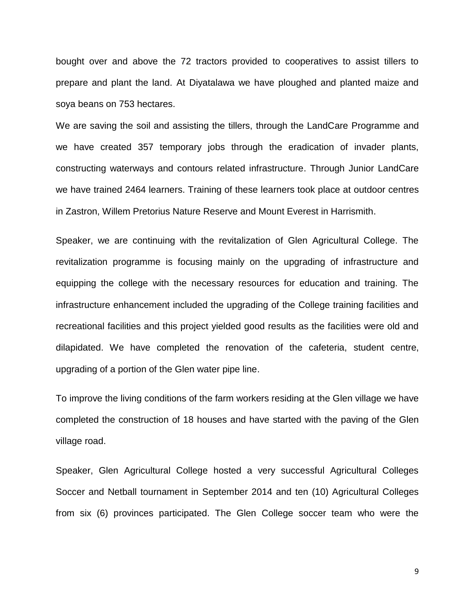bought over and above the 72 tractors provided to cooperatives to assist tillers to prepare and plant the land. At Diyatalawa we have ploughed and planted maize and soya beans on 753 hectares.

We are saving the soil and assisting the tillers, through the LandCare Programme and we have created 357 temporary jobs through the eradication of invader plants, constructing waterways and contours related infrastructure. Through Junior LandCare we have trained 2464 learners. Training of these learners took place at outdoor centres in Zastron, Willem Pretorius Nature Reserve and Mount Everest in Harrismith.

Speaker, we are continuing with the revitalization of Glen Agricultural College. The revitalization programme is focusing mainly on the upgrading of infrastructure and equipping the college with the necessary resources for education and training. The infrastructure enhancement included the upgrading of the College training facilities and recreational facilities and this project yielded good results as the facilities were old and dilapidated. We have completed the renovation of the cafeteria, student centre, upgrading of a portion of the Glen water pipe line.

To improve the living conditions of the farm workers residing at the Glen village we have completed the construction of 18 houses and have started with the paving of the Glen village road.

Speaker, Glen Agricultural College hosted a very successful Agricultural Colleges Soccer and Netball tournament in September 2014 and ten (10) Agricultural Colleges from six (6) provinces participated. The Glen College soccer team who were the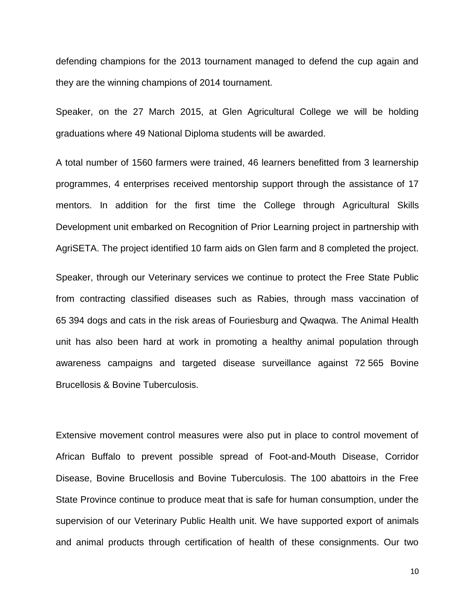defending champions for the 2013 tournament managed to defend the cup again and they are the winning champions of 2014 tournament.

Speaker, on the 27 March 2015, at Glen Agricultural College we will be holding graduations where 49 National Diploma students will be awarded.

A total number of 1560 farmers were trained, 46 learners benefitted from 3 learnership programmes, 4 enterprises received mentorship support through the assistance of 17 mentors. In addition for the first time the College through Agricultural Skills Development unit embarked on Recognition of Prior Learning project in partnership with AgriSETA. The project identified 10 farm aids on Glen farm and 8 completed the project.

Speaker, through our Veterinary services we continue to protect the Free State Public from contracting classified diseases such as Rabies, through mass vaccination of 65 394 dogs and cats in the risk areas of Fouriesburg and Qwaqwa. The Animal Health unit has also been hard at work in promoting a healthy animal population through awareness campaigns and targeted disease surveillance against 72 565 Bovine Brucellosis & Bovine Tuberculosis.

Extensive movement control measures were also put in place to control movement of African Buffalo to prevent possible spread of Foot-and-Mouth Disease, Corridor Disease, Bovine Brucellosis and Bovine Tuberculosis. The 100 abattoirs in the Free State Province continue to produce meat that is safe for human consumption, under the supervision of our Veterinary Public Health unit. We have supported export of animals and animal products through certification of health of these consignments. Our two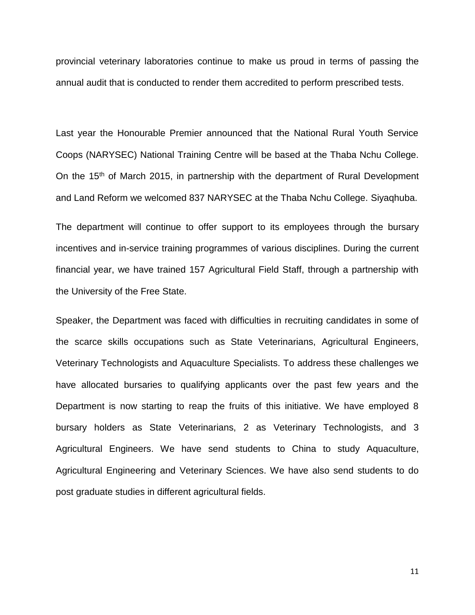provincial veterinary laboratories continue to make us proud in terms of passing the annual audit that is conducted to render them accredited to perform prescribed tests.

Last year the Honourable Premier announced that the National Rural Youth Service Coops (NARYSEC) National Training Centre will be based at the Thaba Nchu College. On the 15<sup>th</sup> of March 2015, in partnership with the department of Rural Development and Land Reform we welcomed 837 NARYSEC at the Thaba Nchu College. Siyaqhuba.

The department will continue to offer support to its employees through the bursary incentives and in-service training programmes of various disciplines. During the current financial year, we have trained 157 Agricultural Field Staff, through a partnership with the University of the Free State.

Speaker, the Department was faced with difficulties in recruiting candidates in some of the scarce skills occupations such as State Veterinarians, Agricultural Engineers, Veterinary Technologists and Aquaculture Specialists. To address these challenges we have allocated bursaries to qualifying applicants over the past few years and the Department is now starting to reap the fruits of this initiative. We have employed 8 bursary holders as State Veterinarians, 2 as Veterinary Technologists, and 3 Agricultural Engineers. We have send students to China to study Aquaculture, Agricultural Engineering and Veterinary Sciences. We have also send students to do post graduate studies in different agricultural fields.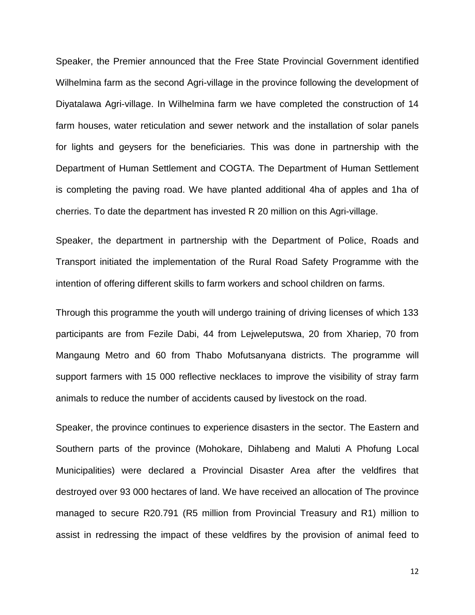Speaker, the Premier announced that the Free State Provincial Government identified Wilhelmina farm as the second Agri-village in the province following the development of Diyatalawa Agri-village. In Wilhelmina farm we have completed the construction of 14 farm houses, water reticulation and sewer network and the installation of solar panels for lights and geysers for the beneficiaries. This was done in partnership with the Department of Human Settlement and COGTA. The Department of Human Settlement is completing the paving road. We have planted additional 4ha of apples and 1ha of cherries. To date the department has invested R 20 million on this Agri-village.

Speaker, the department in partnership with the Department of Police, Roads and Transport initiated the implementation of the Rural Road Safety Programme with the intention of offering different skills to farm workers and school children on farms.

Through this programme the youth will undergo training of driving licenses of which 133 participants are from Fezile Dabi, 44 from Lejweleputswa, 20 from Xhariep, 70 from Mangaung Metro and 60 from Thabo Mofutsanyana districts. The programme will support farmers with 15 000 reflective necklaces to improve the visibility of stray farm animals to reduce the number of accidents caused by livestock on the road.

Speaker, the province continues to experience disasters in the sector. The Eastern and Southern parts of the province (Mohokare, Dihlabeng and Maluti A Phofung Local Municipalities) were declared a Provincial Disaster Area after the veldfires that destroyed over 93 000 hectares of land. We have received an allocation of The province managed to secure R20.791 (R5 million from Provincial Treasury and R1) million to assist in redressing the impact of these veldfires by the provision of animal feed to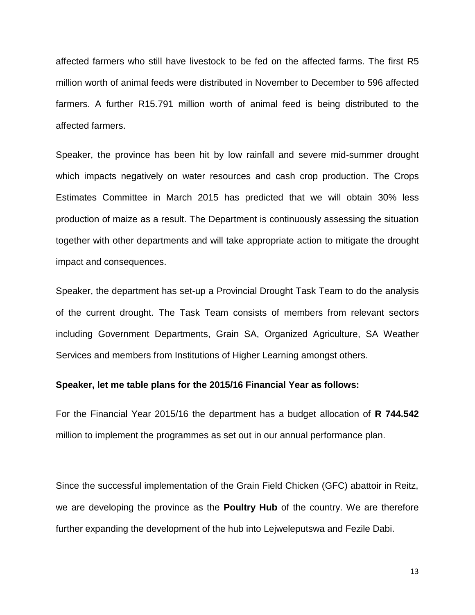affected farmers who still have livestock to be fed on the affected farms. The first R5 million worth of animal feeds were distributed in November to December to 596 affected farmers. A further R15.791 million worth of animal feed is being distributed to the affected farmers.

Speaker, the province has been hit by low rainfall and severe mid-summer drought which impacts negatively on water resources and cash crop production. The Crops Estimates Committee in March 2015 has predicted that we will obtain 30% less production of maize as a result. The Department is continuously assessing the situation together with other departments and will take appropriate action to mitigate the drought impact and consequences.

Speaker, the department has set-up a Provincial Drought Task Team to do the analysis of the current drought. The Task Team consists of members from relevant sectors including Government Departments, Grain SA, Organized Agriculture, SA Weather Services and members from Institutions of Higher Learning amongst others.

### **Speaker, let me table plans for the 2015/16 Financial Year as follows:**

For the Financial Year 2015/16 the department has a budget allocation of **R 744.542** million to implement the programmes as set out in our annual performance plan.

Since the successful implementation of the Grain Field Chicken (GFC) abattoir in Reitz, we are developing the province as the **Poultry Hub** of the country. We are therefore further expanding the development of the hub into Lejweleputswa and Fezile Dabi.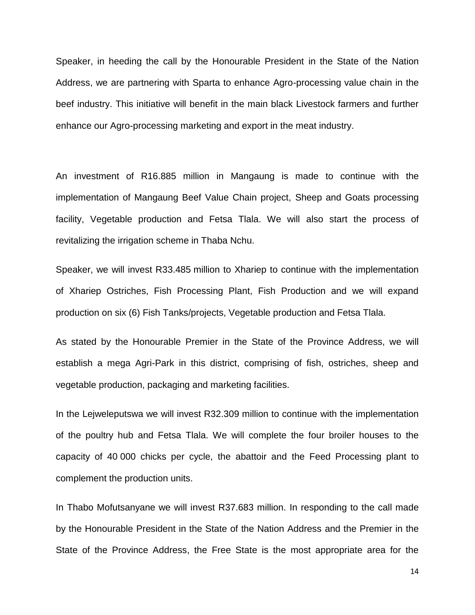Speaker, in heeding the call by the Honourable President in the State of the Nation Address, we are partnering with Sparta to enhance Agro-processing value chain in the beef industry. This initiative will benefit in the main black Livestock farmers and further enhance our Agro-processing marketing and export in the meat industry.

An investment of R16.885 million in Mangaung is made to continue with the implementation of Mangaung Beef Value Chain project, Sheep and Goats processing facility, Vegetable production and Fetsa Tlala. We will also start the process of revitalizing the irrigation scheme in Thaba Nchu.

Speaker, we will invest R33.485 million to Xhariep to continue with the implementation of Xhariep Ostriches, Fish Processing Plant, Fish Production and we will expand production on six (6) Fish Tanks/projects, Vegetable production and Fetsa Tlala.

As stated by the Honourable Premier in the State of the Province Address, we will establish a mega Agri-Park in this district, comprising of fish, ostriches, sheep and vegetable production, packaging and marketing facilities.

In the Lejweleputswa we will invest R32.309 million to continue with the implementation of the poultry hub and Fetsa Tlala. We will complete the four broiler houses to the capacity of 40 000 chicks per cycle, the abattoir and the Feed Processing plant to complement the production units.

In Thabo Mofutsanyane we will invest R37.683 million. In responding to the call made by the Honourable President in the State of the Nation Address and the Premier in the State of the Province Address, the Free State is the most appropriate area for the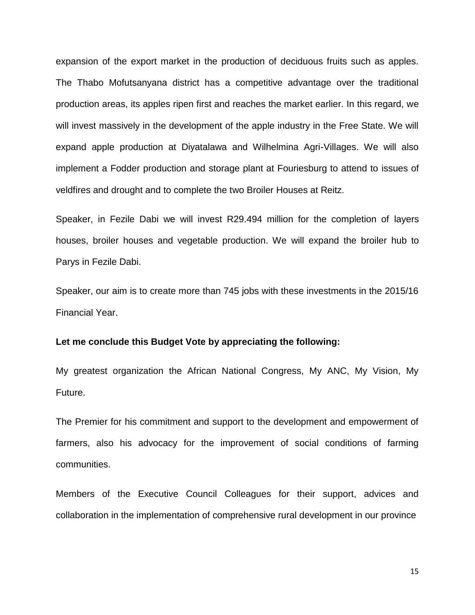expansion of the export market in the production of deciduous fruits such as apples. The Thabo Mofutsanyana district has a competitive advantage over the traditional production areas, its apples ripen first and reaches the market earlier. In this regard, we will invest massively in the development of the apple industry in the Free State. We will expand apple production at Diyatalawa and Wilhelmina Agri-Villages. We will also implement a Fodder production and storage plant at Fouriesburg to attend to issues of veldfires and drought and to complete the two Broiler Houses at Reitz.

Speaker, in Fezile Dabi we will invest R29.494 million for the completion of layers houses, broiler houses and vegetable production. We will expand the broiler hub to Parys in Fezile Dabi.

Speaker, our aim is to create more than 745 jobs with these investments in the 2015/16 Financial Year.

### **Let me conclude this Budget Vote by appreciating the following:**

My greatest organization the African National Congress, My ANC, My Vision, My Future.

The Premier for his commitment and support to the development and empowerment of farmers, also his advocacy for the improvement of social conditions of farming communities.

Members of the Executive Council Colleagues for their support, advices and collaboration in the implementation of comprehensive rural development in our province